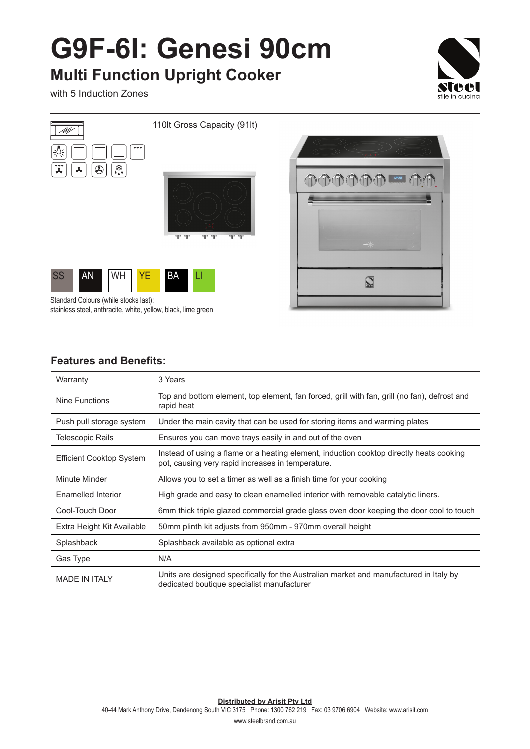## **G9F-6I: Genesi 90cm**

## **Multi Function Upright Cooker**

with 5 Induction Zones





#### **Features and Benefits:**

| Warranty                        | 3 Years                                                                                                                                      |
|---------------------------------|----------------------------------------------------------------------------------------------------------------------------------------------|
| Nine Functions                  | Top and bottom element, top element, fan forced, grill with fan, grill (no fan), defrost and<br>rapid heat                                   |
| Push pull storage system        | Under the main cavity that can be used for storing items and warming plates                                                                  |
| Telescopic Rails                | Ensures you can move trays easily in and out of the oven                                                                                     |
| <b>Efficient Cooktop System</b> | Instead of using a flame or a heating element, induction cooktop directly heats cooking<br>pot, causing very rapid increases in temperature. |
| Minute Minder                   | Allows you to set a timer as well as a finish time for your cooking                                                                          |
| Enamelled Interior              | High grade and easy to clean enamelled interior with removable catalytic liners.                                                             |
| Cool-Touch Door                 | 6mm thick triple glazed commercial grade glass oven door keeping the door cool to touch                                                      |
| Extra Height Kit Available      | 50mm plinth kit adjusts from 950mm - 970mm overall height                                                                                    |
| Splashback                      | Splashback available as optional extra                                                                                                       |
| Gas Type                        | N/A                                                                                                                                          |
| <b>MADE IN ITALY</b>            | Units are designed specifically for the Australian market and manufactured in Italy by<br>dedicated boutique specialist manufacturer         |